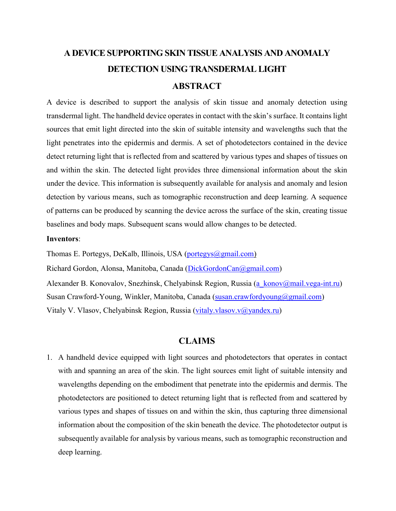# **A DEVICE SUPPORTING SKIN TISSUE ANALYSIS AND ANOMALY DETECTION USING TRANSDERMAL LIGHT ABSTRACT**

A device is described to support the analysis of skin tissue and anomaly detection using transdermal light. The handheld device operates in contact with the skin's surface. It contains light sources that emit light directed into the skin of suitable intensity and wavelengths such that the light penetrates into the epidermis and dermis. A set of photodetectors contained in the device detect returning light that is reflected from and scattered by various types and shapes of tissues on and within the skin. The detected light provides three dimensional information about the skin under the device. This information is subsequently available for analysis and anomaly and lesion detection by various means, such as tomographic reconstruction and deep learning. A sequence of patterns can be produced by scanning the device across the surface of the skin, creating tissue baselines and body maps. Subsequent scans would allow changes to be detected.

#### **Inventors**:

Thomas E. Portegys, DeKalb, Illinois, USA [\(portegys@gmail.com\)](mailto:portegys@gmail.com) Richard Gordon, Alonsa, Manitoba, Canada [\(DickGordonCan@gmail.com\)](mailto:DickGordonCan@gmail.com) Alexander B. Konovalov, Snezhinsk, Chelyabinsk Region, Russia [\(a\\_konov@mail.vega-int.ru\)](mailto:a_konov@mail.vega-int.ru) Susan Crawford-Young, Winkler, Manitoba, Canada [\(susan.crawfordyoung@gmail.com\)](mailto:susan.crawfordyoung@gmail.com) Vitaly V. Vlasov, Chelyabinsk Region, Russia [\(vitaly.vlasov.v@yandex.ru\)](mailto:vitaly.vlasov.v@yandex.ru)

# **CLAIMS**

1. A handheld device equipped with light sources and photodetectors that operates in contact with and spanning an area of the skin. The light sources emit light of suitable intensity and wavelengths depending on the embodiment that penetrate into the epidermis and dermis. The photodetectors are positioned to detect returning light that is reflected from and scattered by various types and shapes of tissues on and within the skin, thus capturing three dimensional information about the composition of the skin beneath the device. The photodetector output is subsequently available for analysis by various means, such as tomographic reconstruction and deep learning.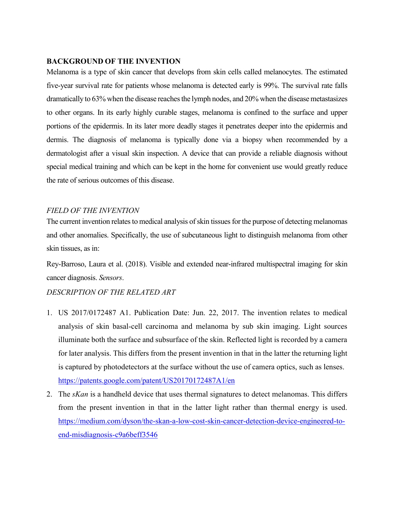## **BACKGROUND OF THE INVENTION**

Melanoma is a type of skin cancer that develops from skin cells called melanocytes. The estimated five-year survival rate for patients whose melanoma is detected early is 99%. The survival rate falls dramatically to 63% when the disease reaches the lymph nodes, and 20% when the disease metastasizes to other organs. In its early highly curable stages, melanoma is confined to the surface and upper portions of the epidermis. In its later more deadly stages it penetrates deeper into the epidermis and dermis. The diagnosis of melanoma is typically done via a biopsy when recommended by a dermatologist after a visual skin inspection. A device that can provide a reliable diagnosis without special medical training and which can be kept in the home for convenient use would greatly reduce the rate of serious outcomes of this disease.

### *FIELD OF THE INVENTION*

The current invention relates to medical analysis of skin tissues for the purpose of detecting melanomas and other anomalies. Specifically, the use of subcutaneous light to distinguish melanoma from other skin tissues, as in:

Rey-Barroso, Laura et al. (2018). Visible and extended near-infrared multispectral imaging for skin cancer diagnosis. *Sensors*.

# *DESCRIPTION OF THE RELATED ART*

- 1. US 2017/0172487 A1. Publication Date: Jun. 22, 2017. The invention relates to medical analysis of skin basal-cell carcinoma and melanoma by sub skin imaging. Light sources illuminate both the surface and subsurface of the skin. Reflected light is recorded by a camera for later analysis. This differs from the present invention in that in the latter the returning light is captured by photodetectors at the surface without the use of camera optics, such as lenses. <https://patents.google.com/patent/US20170172487A1/en>
- 2. The *sKan* is a handheld device that uses thermal signatures to detect melanomas. This differs from the present invention in that in the latter light rather than thermal energy is used. [https://medium.com/dyson/the-skan-a-low-cost-skin-cancer-detection-device-engineered-to](https://medium.com/dyson/the-skan-a-low-cost-skin-cancer-detection-device-engineered-to-end-misdiagnosis-c9a6beff3546)[end-misdiagnosis-c9a6beff3546](https://medium.com/dyson/the-skan-a-low-cost-skin-cancer-detection-device-engineered-to-end-misdiagnosis-c9a6beff3546)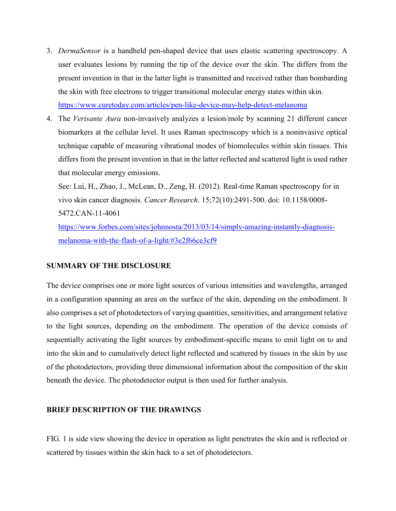- 3. *DermaSensor* is a handheld pen-shaped device that uses elastic scattering spectroscopy. A user evaluates lesions by running the tip of the device over the skin. The differs from the present invention in that in the latter light is transmitted and received rather than bombarding the skin with free electrons to trigger transitional molecular energy states within skin. <https://www.curetoday.com/articles/pen-like-device-may-help-detect-melanoma>
- 4. The *Verisante Aura* non-invasively analyzes a lesion/mole by scanning 21 different cancer biomarkers at the cellular level. It uses Raman spectroscopy which is a noninvasive optical technique capable of measuring vibrational modes of biomolecules within skin tissues. This differs from the present invention in that in the latter reflected and scattered light is used rather that molecular energy emissions.

See: Lui, H., Zhao, J., McLean, D., Zeng, H. (2012). Real-time Raman spectroscopy for in vivo skin cancer diagnosis. *Cancer Research*. 15;72(10):2491-500. doi: 10.1158/0008- 5472.CAN-11-4061

[https://www.forbes.com/sites/johnnosta/2013/03/14/simply-amazing-instantly-diagnosis](https://www.forbes.com/sites/johnnosta/2013/03/14/simply-amazing-instantly-diagnosis-melanoma-with-the-flash-of-a-light/#3e2f66ce3cf9)[melanoma-with-the-flash-of-a-light/#3e2f66ce3cf9](https://www.forbes.com/sites/johnnosta/2013/03/14/simply-amazing-instantly-diagnosis-melanoma-with-the-flash-of-a-light/#3e2f66ce3cf9)

#### **SUMMARY OF THE DISCLOSURE**

The device comprises one or more light sources of various intensities and wavelengths, arranged in a configuration spanning an area on the surface of the skin, depending on the embodiment. It also comprises a set of photodetectors of varying quantities, sensitivities, and arrangement relative to the light sources, depending on the embodiment. The operation of the device consists of sequentially activating the light sources by embodiment-specific means to emit light on to and into the skin and to cumulatively detect light reflected and scattered by tissues in the skin by use of the photodetectors, providing three dimensional information about the composition of the skin beneath the device. The photodetector output is then used for further analysis.

#### **BRIEF DESCRIPTION OF THE DRAWINGS**

FIG. 1 is side view showing the device in operation as light penetrates the skin and is reflected or scattered by tissues within the skin back to a set of photodetectors.